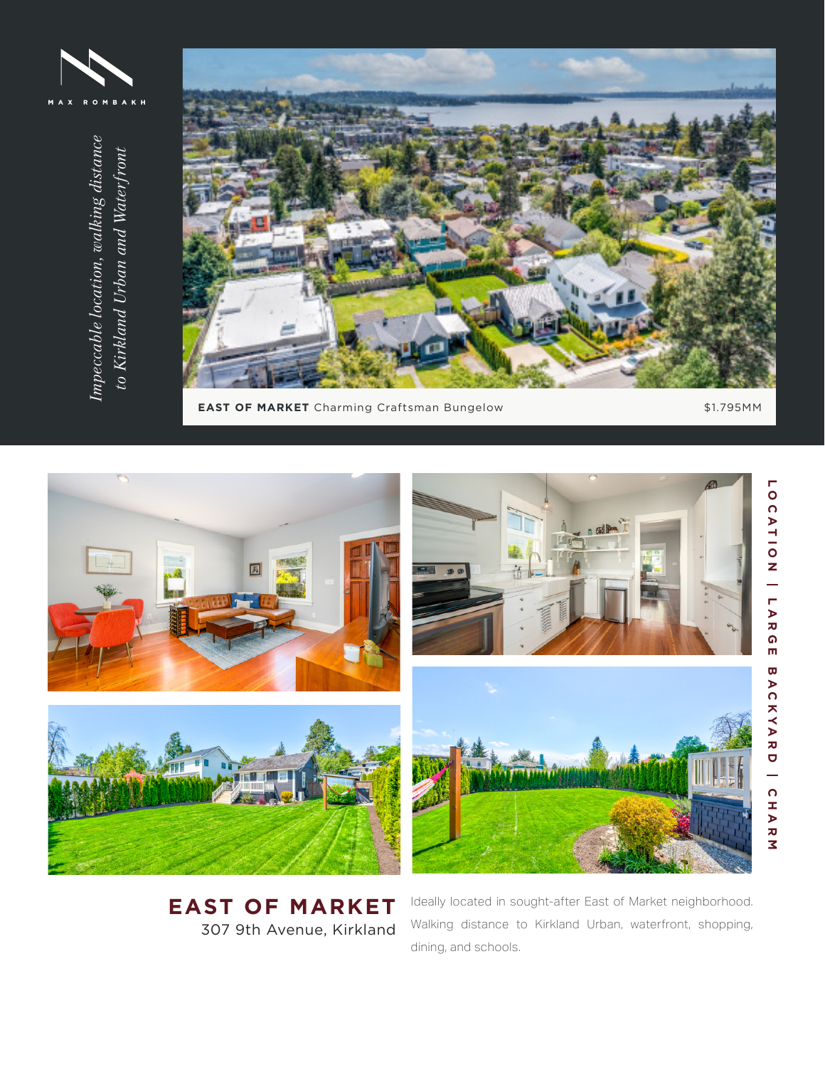



**EAST OF MARKET** Charming Craftsman Bungelow \$1.795MM



**EAST OF MARKET** 307 9th Avenue, Kirkland Ideally located in sought-after East of Market neighborhood. Walking distance to Kirkland Urban, waterfront, shopping, dining, and schools.